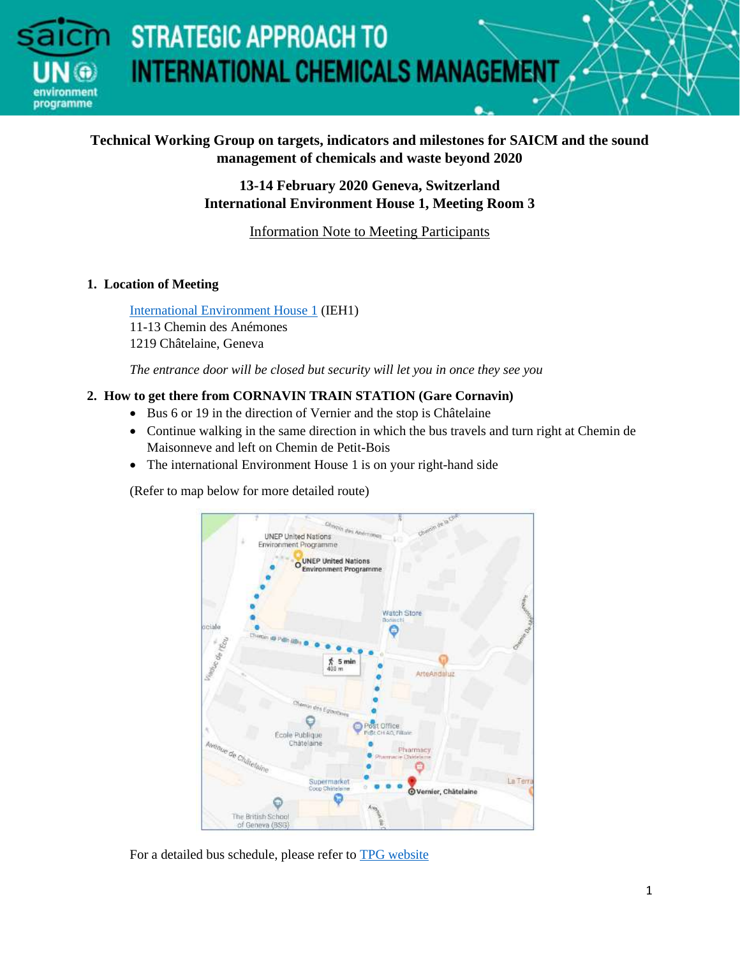## **Technical Working Group on targets, indicators and milestones for SAICM and the sound management of chemicals and waste beyond 2020**

## **13-14 February 2020 Geneva, Switzerland International Environment House 1, Meeting Room 3**

Information Note to Meeting Participants

## **1. Location of Meeting**

programme

[International Environment House 1](https://www.genevaenvironmentnetwork.org/ieh.html) (IEH1) 11-13 Chemin des Anémones 1219 Châtelaine, Geneva

*The entrance door will be closed but security will let you in once they see you* 

## **2. How to get there from CORNAVIN TRAIN STATION (Gare Cornavin)**

- Bus 6 or 19 in the direction of Vernier and the stop is Châtelaine
- Continue walking in the same direction in which the bus travels and turn right at Chemin de Maisonneve and left on Chemin de Petit-Bois
- The international Environment House 1 is on your right-hand side

(Refer to map below for more detailed route)



For a detailed bus schedule, please refer t[o TPG website](https://www.tpg.ch/)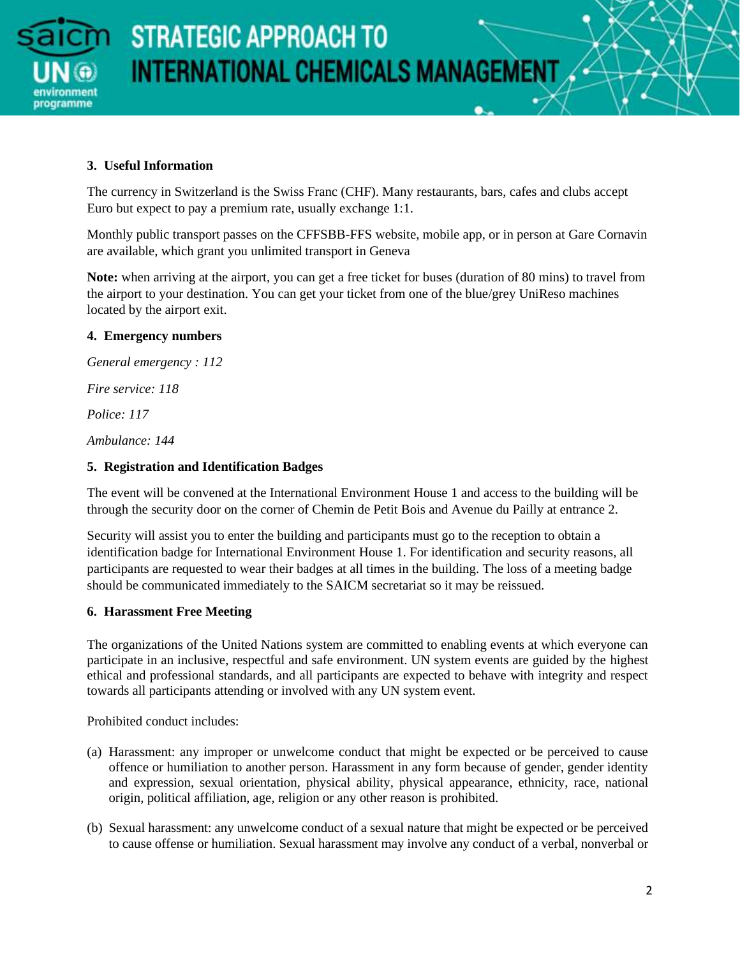

## **3. Useful Information**

The currency in Switzerland is the Swiss Franc (CHF). Many restaurants, bars, cafes and clubs accept Euro but expect to pay a premium rate, usually exchange 1:1.

Monthly public transport passes on the CFFSBB-FFS website, mobile app, or in person at Gare Cornavin are available, which grant you unlimited transport in Geneva

**Note:** when arriving at the airport, you can get a free ticket for buses (duration of 80 mins) to travel from the airport to your destination. You can get your ticket from one of the blue/grey UniReso machines located by the airport exit.

## **4. Emergency numbers**

*General emergency : 112* 

*Fire service: 118* 

*Police: 117*

*Ambulance: 144* 

## **5. Registration and Identification Badges**

The event will be convened at the International Environment House 1 and access to the building will be through the security door on the corner of Chemin de Petit Bois and Avenue du Pailly at entrance 2.

Security will assist you to enter the building and participants must go to the reception to obtain a identification badge for International Environment House 1. For identification and security reasons, all participants are requested to wear their badges at all times in the building. The loss of a meeting badge should be communicated immediately to the SAICM secretariat so it may be reissued.

#### **6. Harassment Free Meeting**

The organizations of the United Nations system are committed to enabling events at which everyone can participate in an inclusive, respectful and safe environment. UN system events are guided by the highest ethical and professional standards, and all participants are expected to behave with integrity and respect towards all participants attending or involved with any UN system event.

Prohibited conduct includes:

- (a) Harassment: any improper or unwelcome conduct that might be expected or be perceived to cause offence or humiliation to another person. Harassment in any form because of gender, gender identity and expression, sexual orientation, physical ability, physical appearance, ethnicity, race, national origin, political affiliation, age, religion or any other reason is prohibited.
- (b) Sexual harassment: any unwelcome conduct of a sexual nature that might be expected or be perceived to cause offense or humiliation. Sexual harassment may involve any conduct of a verbal, nonverbal or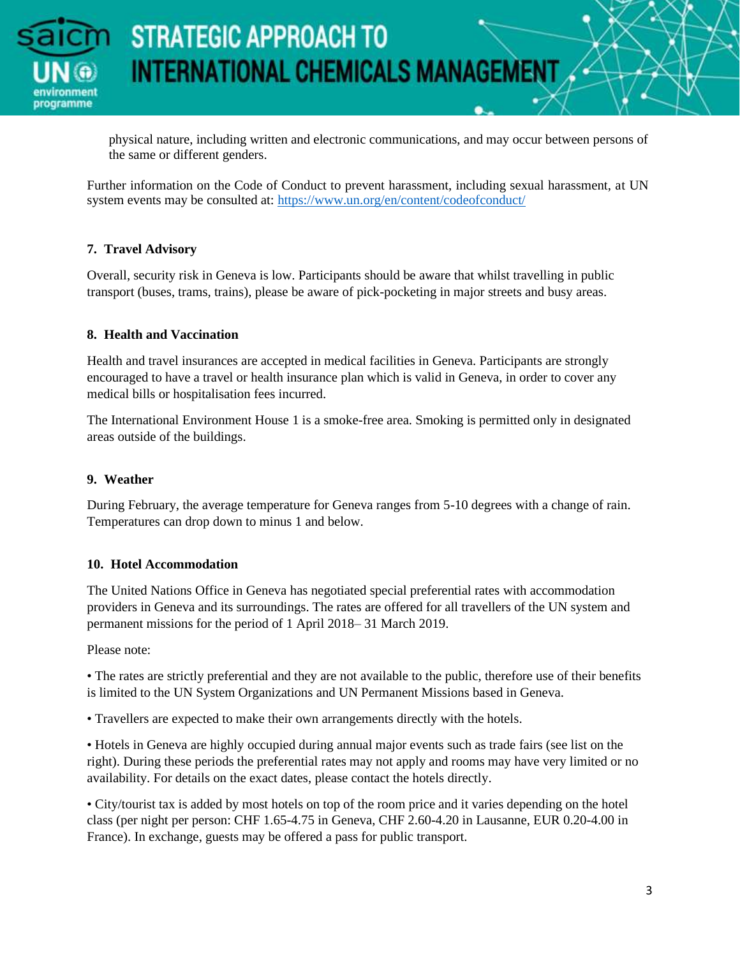

physical nature, including written and electronic communications, and may occur between persons of the same or different genders.

Further information on the Code of Conduct to prevent harassment, including sexual harassment, at UN system events may be consulted at:<https://www.un.org/en/content/codeofconduct/>

## **7. Travel Advisory**

Overall, security risk in Geneva is low. Participants should be aware that whilst travelling in public transport (buses, trams, trains), please be aware of pick-pocketing in major streets and busy areas.

#### **8. Health and Vaccination**

Health and travel insurances are accepted in medical facilities in Geneva. Participants are strongly encouraged to have a travel or health insurance plan which is valid in Geneva, in order to cover any medical bills or hospitalisation fees incurred.

The International Environment House 1 is a smoke-free area. Smoking is permitted only in designated areas outside of the buildings.

#### **9. Weather**

During February, the average temperature for Geneva ranges from 5-10 degrees with a change of rain. Temperatures can drop down to minus 1 and below.

#### **10. Hotel Accommodation**

The United Nations Office in Geneva has negotiated special preferential rates with accommodation providers in Geneva and its surroundings. The rates are offered for all travellers of the UN system and permanent missions for the period of 1 April 2018– 31 March 2019.

Please note:

• The rates are strictly preferential and they are not available to the public, therefore use of their benefits is limited to the UN System Organizations and UN Permanent Missions based in Geneva.

• Travellers are expected to make their own arrangements directly with the hotels.

• Hotels in Geneva are highly occupied during annual major events such as trade fairs (see list on the right). During these periods the preferential rates may not apply and rooms may have very limited or no availability. For details on the exact dates, please contact the hotels directly.

• City/tourist tax is added by most hotels on top of the room price and it varies depending on the hotel class (per night per person: CHF 1.65-4.75 in Geneva, CHF 2.60-4.20 in Lausanne, EUR 0.20-4.00 in France). In exchange, guests may be offered a pass for public transport.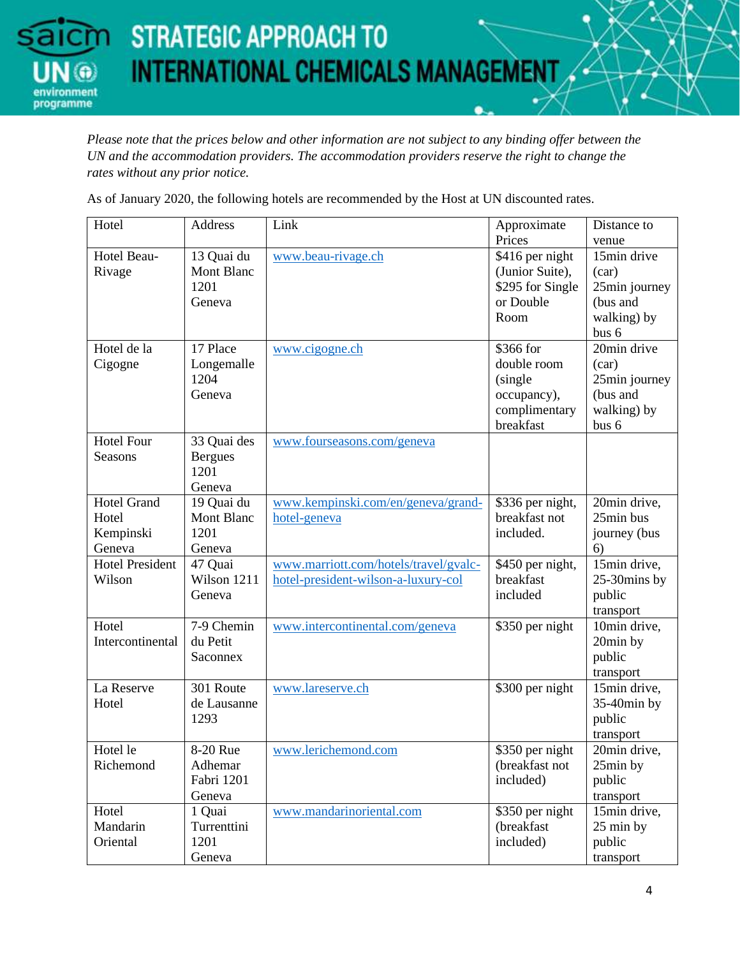programme

*Please note that the prices below and other information are not subject to any binding offer between the UN and the accommodation providers. The accommodation providers reserve the right to change the rates without any prior notice.*

As of January 2020, the following hotels are recommended by the Host at UN discounted rates.

| Distance to    |
|----------------|
| venue          |
| 15min drive    |
| (car)          |
| 25min journey  |
| (bus and       |
| walking) by    |
| bus 6          |
| 20min drive    |
| (car)          |
| 25min journey  |
| (bus and       |
| walking) by    |
| bus 6          |
|                |
|                |
|                |
|                |
| 20min drive,   |
| 25min bus      |
| journey (bus   |
|                |
| 15min drive,   |
| 25-30mins by   |
| public         |
| transport      |
| 10min drive,   |
| 20min by       |
| public         |
| transport      |
| 15min drive,   |
| $35-40$ min by |
| public         |
| transport      |
| 20min drive,   |
| 25min by       |
| public         |
| transport      |
| 15min drive,   |
| 25 min by      |
| public         |
| transport      |
| 6)             |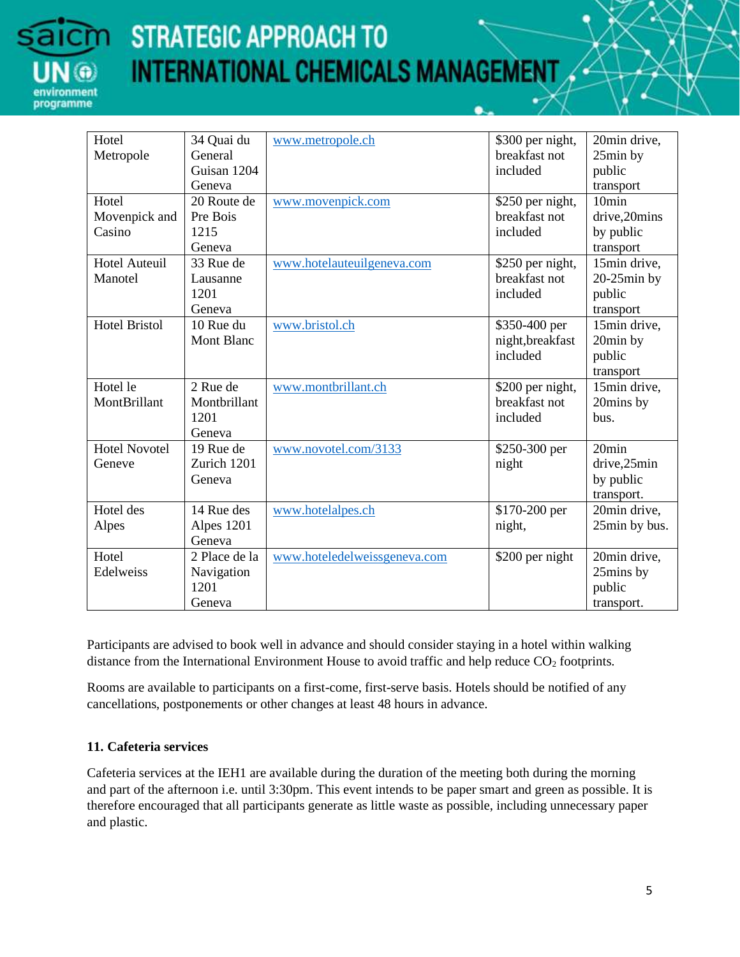

| Hotel                | 34 Quai du        | www.metropole.ch             | \$300 per night, | 20min drive,      |
|----------------------|-------------------|------------------------------|------------------|-------------------|
| Metropole            | General           |                              | breakfast not    | 25min by          |
|                      | Guisan 1204       |                              | included         | public            |
|                      | Geneva            |                              |                  | transport         |
| Hotel                | 20 Route de       | www.movenpick.com            | \$250 per night, | 10 <sub>min</sub> |
| Movenpick and        | Pre Bois          |                              | breakfast not    | drive,20mins      |
| Casino               | 1215              |                              | included         | by public         |
|                      | Geneva            |                              |                  | transport         |
| <b>Hotel Auteuil</b> | 33 Rue de         | www.hotelauteuilgeneva.com   | \$250 per night, | 15min drive,      |
| Manotel              | Lausanne          |                              | breakfast not    | $20-25$ min by    |
|                      | 1201              |                              | included         | public            |
|                      | Geneva            |                              |                  | transport         |
| <b>Hotel Bristol</b> | 10 Rue du         | www.bristol.ch               | \$350-400 per    | 15min drive,      |
|                      | <b>Mont Blanc</b> |                              | night, breakfast | 20min by          |
|                      |                   |                              | included         | public            |
|                      |                   |                              |                  | transport         |
| Hotel le             | 2 Rue de          | www.montbrillant.ch          | \$200 per night, | 15min drive,      |
| MontBrillant         | Montbrillant      |                              | breakfast not    | 20mins by         |
|                      | 1201              |                              | included         | bus.              |
|                      | Geneva            |                              |                  |                   |
| Hotel Novotel        | 19 Rue de         | www.novotel.com/3133         | \$250-300 per    | 20 <sub>min</sub> |
| Geneve               | Zurich 1201       |                              | night            | drive,25min       |
|                      | Geneva            |                              |                  | by public         |
|                      |                   |                              |                  | transport.        |
| Hotel des            | 14 Rue des        | www.hotelalpes.ch            | \$170-200 per    | 20min drive,      |
| Alpes                | Alpes 1201        |                              | night,           | 25min by bus.     |
|                      | Geneva            |                              |                  |                   |
| Hotel                | 2 Place de la     | www.hoteledelweissgeneva.com | \$200 per night  | 20min drive,      |
| Edelweiss            | Navigation        |                              |                  | 25mins by         |
|                      | 1201              |                              |                  | public            |
|                      | Geneva            |                              |                  | transport.        |

Participants are advised to book well in advance and should consider staying in a hotel within walking distance from the International Environment House to avoid traffic and help reduce  $CO<sub>2</sub>$  footprints.

Rooms are available to participants on a first-come, first-serve basis. Hotels should be notified of any cancellations, postponements or other changes at least 48 hours in advance.

#### **11. Cafeteria services**

Cafeteria services at the IEH1 are available during the duration of the meeting both during the morning and part of the afternoon i.e. until 3:30pm. This event intends to be paper smart and green as possible. It is therefore encouraged that all participants generate as little waste as possible, including unnecessary paper and plastic.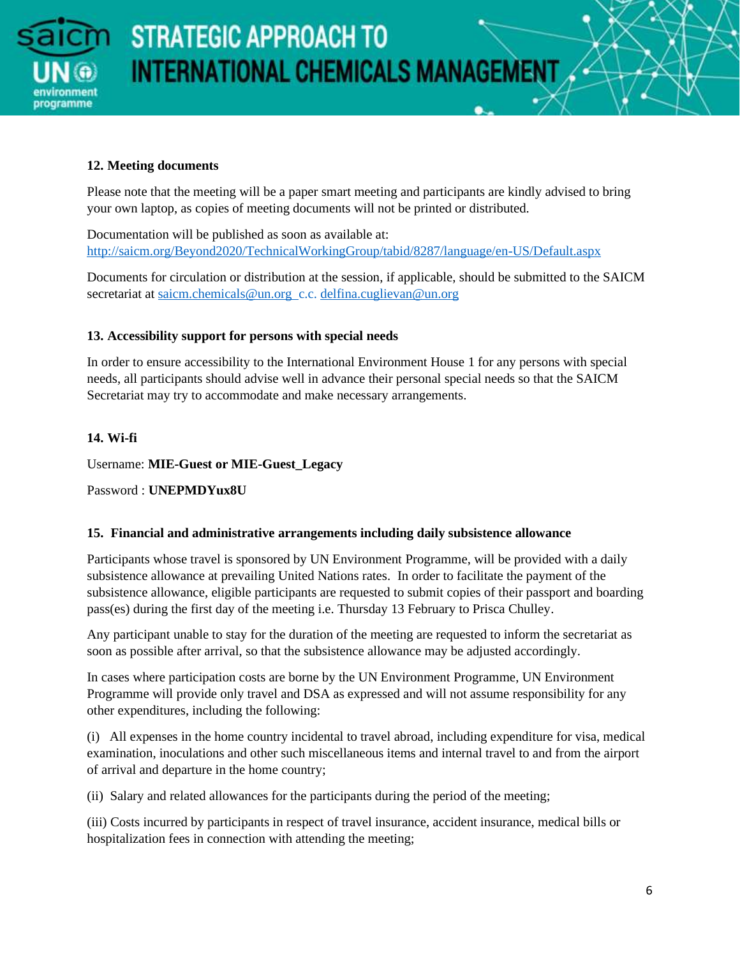

## **12. Meeting documents**

Please note that the meeting will be a paper smart meeting and participants are kindly advised to bring your own laptop, as copies of meeting documents will not be printed or distributed.

Documentation will be published as soon as available at: <http://saicm.org/Beyond2020/TechnicalWorkingGroup/tabid/8287/language/en-US/Default.aspx>

Documents for circulation or distribution at the session, if applicable, should be submitted to the SAICM secretariat at [saicm.chemicals@un.org](mailto:saicm.chemicals@un.org) c.c. [delfina.cuglievan@un.org](mailto:delfina.cuglievan@un.org)

## **13. Accessibility support for persons with special needs**

In order to ensure accessibility to the International Environment House 1 for any persons with special needs, all participants should advise well in advance their personal special needs so that the SAICM Secretariat may try to accommodate and make necessary arrangements.

## **14. Wi-fi**

Username: **MIE-Guest or MIE-Guest\_Legacy**

Password : **UNEPMDYux8U**

## **15. Financial and administrative arrangements including daily subsistence allowance**

Participants whose travel is sponsored by UN Environment Programme, will be provided with a daily subsistence allowance at prevailing United Nations rates. In order to facilitate the payment of the subsistence allowance, eligible participants are requested to submit copies of their passport and boarding pass(es) during the first day of the meeting i.e. Thursday 13 February to Prisca Chulley.

Any participant unable to stay for the duration of the meeting are requested to inform the secretariat as soon as possible after arrival, so that the subsistence allowance may be adjusted accordingly.

In cases where participation costs are borne by the UN Environment Programme, UN Environment Programme will provide only travel and DSA as expressed and will not assume responsibility for any other expenditures, including the following:

(i) All expenses in the home country incidental to travel abroad, including expenditure for visa, medical examination, inoculations and other such miscellaneous items and internal travel to and from the airport of arrival and departure in the home country;

(ii) Salary and related allowances for the participants during the period of the meeting;

(iii) Costs incurred by participants in respect of travel insurance, accident insurance, medical bills or hospitalization fees in connection with attending the meeting;